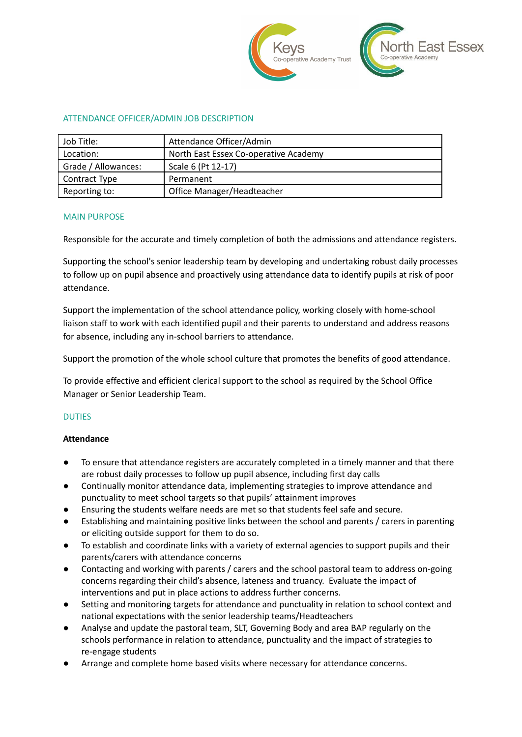

### ATTENDANCE OFFICER/ADMIN JOB DESCRIPTION

| Job Title:          | Attendance Officer/Admin              |  |
|---------------------|---------------------------------------|--|
| Location:           | North East Essex Co-operative Academy |  |
| Grade / Allowances: | Scale 6 (Pt 12-17)                    |  |
| Contract Type       | Permanent                             |  |
| Reporting to:       | Office Manager/Headteacher            |  |

#### MAIN PURPOSE

Responsible for the accurate and timely completion of both the admissions and attendance registers.

Supporting the school's senior leadership team by developing and undertaking robust daily processes to follow up on pupil absence and proactively using attendance data to identify pupils at risk of poor attendance.

Support the implementation of the school attendance policy, working closely with home-school liaison staff to work with each identified pupil and their parents to understand and address reasons for absence, including any in-school barriers to attendance.

Support the promotion of the whole school culture that promotes the benefits of good attendance.

To provide effective and efficient clerical support to the school as required by the School Office Manager or Senior Leadership Team.

#### DUTIES

#### **Attendance**

- To ensure that attendance registers are accurately completed in a timely manner and that there are robust daily processes to follow up pupil absence, including first day calls
- Continually monitor attendance data, implementing strategies to improve attendance and punctuality to meet school targets so that pupils' attainment improves
- Ensuring the students welfare needs are met so that students feel safe and secure.
- Establishing and maintaining positive links between the school and parents / carers in parenting or eliciting outside support for them to do so.
- To establish and coordinate links with a variety of external agencies to support pupils and their parents/carers with attendance concerns
- Contacting and working with parents / carers and the school pastoral team to address on-going concerns regarding their child's absence, lateness and truancy. Evaluate the impact of interventions and put in place actions to address further concerns.
- Setting and monitoring targets for attendance and punctuality in relation to school context and national expectations with the senior leadership teams/Headteachers
- Analyse and update the pastoral team, SLT, Governing Body and area BAP regularly on the schools performance in relation to attendance, punctuality and the impact of strategies to re-engage students
- Arrange and complete home based visits where necessary for attendance concerns.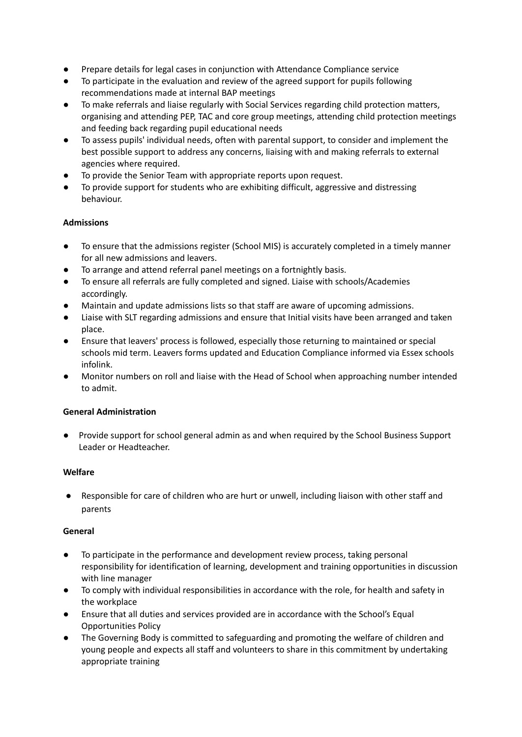- Prepare details for legal cases in conjunction with Attendance Compliance service
- To participate in the evaluation and review of the agreed support for pupils following recommendations made at internal BAP meetings
- To make referrals and liaise regularly with Social Services regarding child protection matters, organising and attending PEP, TAC and core group meetings, attending child protection meetings and feeding back regarding pupil educational needs
- To assess pupils' individual needs, often with parental support, to consider and implement the best possible support to address any concerns, liaising with and making referrals to external agencies where required.
- To provide the Senior Team with appropriate reports upon request.
- To provide support for students who are exhibiting difficult, aggressive and distressing behaviour.

# **Admissions**

- To ensure that the admissions register (School MIS) is accurately completed in a timely manner for all new admissions and leavers.
- To arrange and attend referral panel meetings on a fortnightly basis.
- To ensure all referrals are fully completed and signed. Liaise with schools/Academies accordingly.
- Maintain and update admissions lists so that staff are aware of upcoming admissions.
- Liaise with SLT regarding admissions and ensure that Initial visits have been arranged and taken place.
- Ensure that leavers' process is followed, especially those returning to maintained or special schools mid term. Leavers forms updated and Education Compliance informed via Essex schools infolink.
- Monitor numbers on roll and liaise with the Head of School when approaching number intended to admit.

## **General Administration**

● Provide support for school general admin as and when required by the School Business Support Leader or Headteacher.

## **Welfare**

● Responsible for care of children who are hurt or unwell, including liaison with other staff and parents

## **General**

- To participate in the performance and development review process, taking personal responsibility for identification of learning, development and training opportunities in discussion with line manager
- To comply with individual responsibilities in accordance with the role, for health and safety in the workplace
- Ensure that all duties and services provided are in accordance with the School's Equal Opportunities Policy
- The Governing Body is committed to safeguarding and promoting the welfare of children and young people and expects all staff and volunteers to share in this commitment by undertaking appropriate training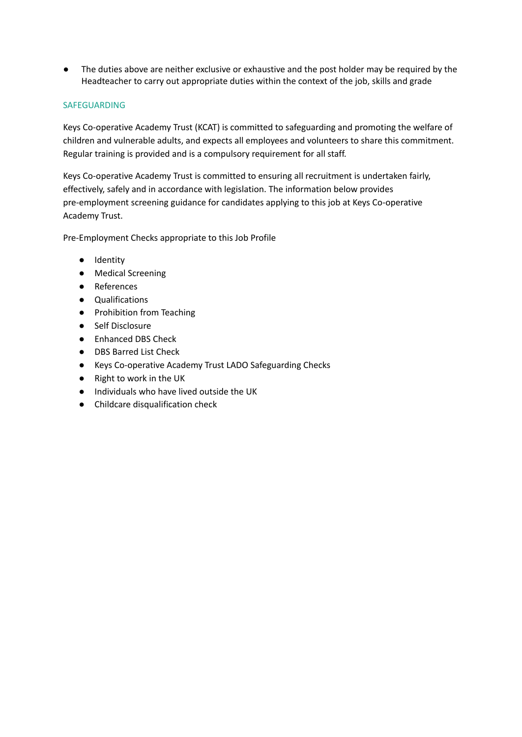The duties above are neither exclusive or exhaustive and the post holder may be required by the Headteacher to carry out appropriate duties within the context of the job, skills and grade

### SAFEGUARDING

Keys Co-operative Academy Trust (KCAT) is committed to safeguarding and promoting the welfare of children and vulnerable adults, and expects all employees and volunteers to share this commitment. Regular training is provided and is a compulsory requirement for all staff.

Keys Co-operative Academy Trust is committed to ensuring all recruitment is undertaken fairly, effectively, safely and in accordance with legislation. The information below provides pre-employment screening guidance for candidates applying to this job at Keys Co-operative Academy Trust.

Pre-Employment Checks appropriate to this Job Profile

- Identity
- Medical Screening
- References
- Qualifications
- Prohibition from Teaching
- Self Disclosure
- Enhanced DBS Check
- DBS Barred List Check
- Keys Co-operative Academy Trust LADO Safeguarding Checks
- Right to work in the UK
- Individuals who have lived outside the UK
- Childcare disqualification check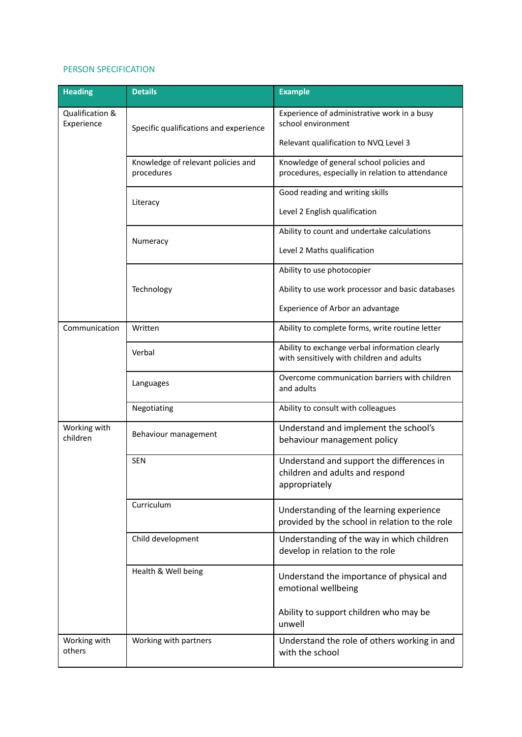### PERSON SPECIFICATION

| Heading                       | <b>Details</b>                                   | <b>Example</b>                                                                                |
|-------------------------------|--------------------------------------------------|-----------------------------------------------------------------------------------------------|
| Qualification &<br>Experience | Specific qualifications and experience           | Experience of administrative work in a busy<br>school environment                             |
|                               |                                                  | Relevant qualification to NVQ Level 3                                                         |
|                               | Knowledge of relevant policies and<br>procedures | Knowledge of general school policies and<br>procedures, especially in relation to attendance  |
|                               | Literacy                                         | Good reading and writing skills                                                               |
|                               |                                                  | Level 2 English qualification                                                                 |
|                               | Numeracy                                         | Ability to count and undertake calculations                                                   |
|                               |                                                  | Level 2 Maths qualification                                                                   |
|                               |                                                  | Ability to use photocopier                                                                    |
|                               | Technology                                       | Ability to use work processor and basic databases                                             |
|                               |                                                  | Experience of Arbor an advantage                                                              |
| Communication                 | Written                                          | Ability to complete forms, write routine letter                                               |
|                               | Verbal                                           | Ability to exchange verbal information clearly<br>with sensitively with children and adults   |
|                               | Languages                                        | Overcome communication barriers with children<br>and adults                                   |
|                               | Negotiating                                      | Ability to consult with colleagues                                                            |
| Working with<br>children      | Behaviour management                             | Understand and implement the school's<br>behaviour management policy                          |
|                               | <b>SEN</b>                                       | Understand and support the differences in<br>children and adults and respond<br>appropriately |
|                               | Curriculum                                       | Understanding of the learning experience<br>provided by the school in relation to the role    |
|                               | Child development                                | Understanding of the way in which children<br>develop in relation to the role                 |
|                               | Health & Well being                              | Understand the importance of physical and<br>emotional wellbeing                              |
|                               |                                                  | Ability to support children who may be<br>unwell                                              |
| Working with<br>others        | Working with partners                            | Understand the role of others working in and<br>with the school                               |